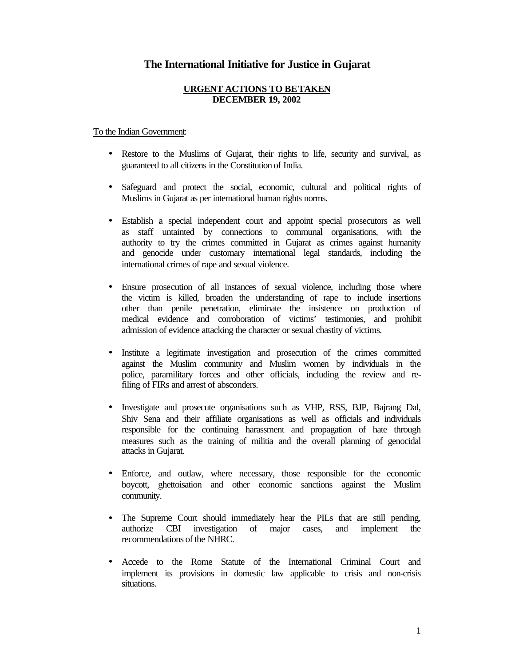## **The International Initiative for Justice in Gujarat**

## **URGENT ACTIONS TO BE TAKEN DECEMBER 19, 2002**

## To the Indian Government:

- Restore to the Muslims of Gujarat, their rights to life, security and survival, as guaranteed to all citizens in the Constitution of India.
- Safeguard and protect the social, economic, cultural and political rights of Muslims in Gujarat as per international human rights norms.
- Establish a special independent court and appoint special prosecutors as well as staff untainted by connections to communal organisations, with the authority to try the crimes committed in Gujarat as crimes against humanity and genocide under customary international legal standards, including the international crimes of rape and sexual violence.
- Ensure prosecution of all instances of sexual violence, including those where the victim is killed, broaden the understanding of rape to include insertions other than penile penetration, eliminate the insistence on production of medical evidence and corroboration of victims' testimonies, and prohibit admission of evidence attacking the character or sexual chastity of victims.
- Institute a legitimate investigation and prosecution of the crimes committed against the Muslim community and Muslim women by individuals in the police, paramilitary forces and other officials, including the review and refiling of FIRs and arrest of absconders.
- Investigate and prosecute organisations such as VHP, RSS, BJP, Bajrang Dal, Shiv Sena and their affiliate organisations as well as officials and individuals responsible for the continuing harassment and propagation of hate through measures such as the training of militia and the overall planning of genocidal attacks in Gujarat.
- Enforce, and outlaw, where necessary, those responsible for the economic boycott, ghettoisation and other economic sanctions against the Muslim community.
- The Supreme Court should immediately hear the PILs that are still pending, authorize CBI investigation of major cases, and implement the recommendations of the NHRC.
- Accede to the Rome Statute of the International Criminal Court and implement its provisions in domestic law applicable to crisis and non-crisis situations.